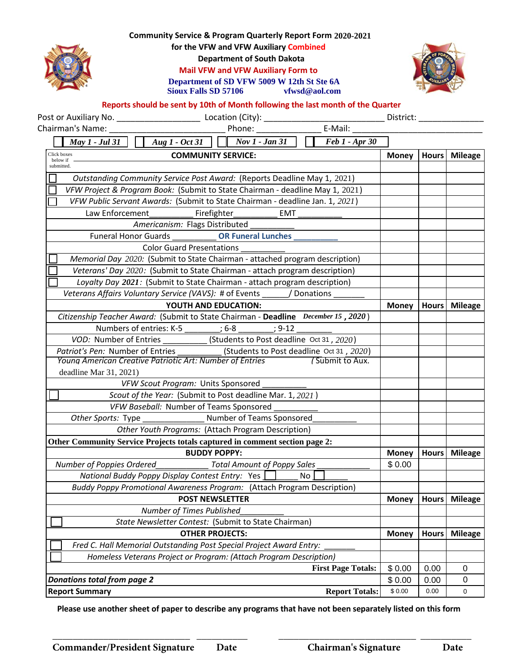## **Community Service & Program Quarterly Report Form 2020-2021 for the VFW and VFW Auxiliary Combined**







## **Reports should be sent by 10th of Month following the last month of the Quarter**

| Community Service & Program Quarterly Report Form 2020-2021<br>for the VFW and VFW Auxiliary Combined<br><b>Department of South Dakota</b><br><b>Mail VFW and VFW Auxiliary Form to</b><br>Department of SD VFW 5009 W 12th St Ste 6A<br><b>Sioux Falls SD 57106</b><br>vfwsd@aol.com |                        |              |                |
|---------------------------------------------------------------------------------------------------------------------------------------------------------------------------------------------------------------------------------------------------------------------------------------|------------------------|--------------|----------------|
| Reports should be sent by 10th of Month following the last month of the Quarter                                                                                                                                                                                                       |                        |              |                |
|                                                                                                                                                                                                                                                                                       |                        |              |                |
| Phone: _________________________ E-Mail: ______<br>Chairman's Name: The Chairman's Name:                                                                                                                                                                                              |                        |              |                |
| $\begin{array}{ c c c c c }\n\hline\n\end{array}$ Aug 1 - Oct 31<br>$Nov 1 - Jan 31$<br><b>Feb 1 - Apr 30</b><br>$\overline{May 1}$ - Jul 31                                                                                                                                          |                        |              |                |
| Click boxes<br><b>COMMUNITY SERVICE:</b><br>below if                                                                                                                                                                                                                                  | <b>Money</b>           | <b>Hours</b> | <b>Mileage</b> |
| submitted.                                                                                                                                                                                                                                                                            |                        |              |                |
| Outstanding Community Service Post Award: (Reports Deadline May 1, 2021)                                                                                                                                                                                                              |                        |              |                |
| VFW Project & Program Book: (Submit to State Chairman - deadline May 1, 2021)                                                                                                                                                                                                         |                        |              |                |
| VFW Public Servant Awards: (Submit to State Chairman - deadline Jan. 1, 2021)                                                                                                                                                                                                         |                        |              |                |
| Law Enforcement<br>Firefighter<br>EMT                                                                                                                                                                                                                                                 |                        |              |                |
| Americanism: Flags Distributed                                                                                                                                                                                                                                                        |                        |              |                |
| <b>Funeral Honor Guards</b><br><b>OR Funeral Lunches</b>                                                                                                                                                                                                                              |                        |              |                |
| <b>Color Guard Presentations</b>                                                                                                                                                                                                                                                      |                        |              |                |
| Memorial Day 2020: (Submit to State Chairman - attached program description)                                                                                                                                                                                                          |                        |              |                |
| Veterans' Day 2020: (Submit to State Chairman - attach program description)                                                                                                                                                                                                           |                        |              |                |
| Loyalty Day 2021: (Submit to State Chairman - attach program description)                                                                                                                                                                                                             |                        |              |                |
| Veterans Affairs Voluntary Service (VAVS): # of Events / Donations                                                                                                                                                                                                                    |                        |              |                |
| YOUTH AND EDUCATION:                                                                                                                                                                                                                                                                  | <b>Money</b>           |              | Hours Mileage  |
| Citizenship Teacher Award: (Submit to State Chairman - Deadline December 15, 2020)                                                                                                                                                                                                    |                        |              |                |
| Numbers of entries: K-5 (6-8)<br>$: 9 - 12$                                                                                                                                                                                                                                           |                        |              |                |
| VOD: Number of Entries<br>$\frac{1}{2020}$ (Students to Post deadline Oct 31, 2020)                                                                                                                                                                                                   |                        |              |                |
| (Students to Post deadline Oct 31, 2020)<br>Patriot's Pen: Number of Entries                                                                                                                                                                                                          |                        |              |                |
| Young American Creative Patriotic Art: Number of Entries<br>(Submit to Aux.                                                                                                                                                                                                           |                        |              |                |
| deadline Mar 31, 2021)                                                                                                                                                                                                                                                                |                        |              |                |
| VFW Scout Program: Units Sponsored                                                                                                                                                                                                                                                    |                        |              |                |
| Scout of the Year: (Submit to Post deadline Mar. 1, 2021)                                                                                                                                                                                                                             |                        |              |                |
| VFW Baseball: Number of Teams Sponsored                                                                                                                                                                                                                                               |                        |              |                |
| Other Sports: Type<br>Number of Teams Sponsored                                                                                                                                                                                                                                       |                        |              |                |
| Other Youth Programs: (Attach Program Description)                                                                                                                                                                                                                                    |                        |              |                |
| Other Community Service Projects totals captured in comment section page 2:<br><b>BUDDY POPPY:</b>                                                                                                                                                                                    |                        |              |                |
|                                                                                                                                                                                                                                                                                       | <b>Money</b><br>\$0.00 | <b>Hours</b> | <b>Mileage</b> |
| Number of Poppies Ordered<br><b>Total Amount of Poppy Sales</b><br>No                                                                                                                                                                                                                 |                        |              |                |
| National Buddy Poppy Display Contest Entry: Yes                                                                                                                                                                                                                                       |                        |              |                |
| Buddy Poppy Promotional Awareness Program: (Attach Program Description)<br><b>POST NEWSLETTER</b>                                                                                                                                                                                     | <b>Money</b>           | <b>Hours</b> | <b>Mileage</b> |
| Number of Times Published                                                                                                                                                                                                                                                             |                        |              |                |
| State Newsletter Contest: (Submit to State Chairman)                                                                                                                                                                                                                                  |                        |              |                |
| <b>OTHER PROJECTS:</b>                                                                                                                                                                                                                                                                | <b>Money</b>           | <b>Hours</b> | <b>Mileage</b> |
| Fred C. Hall Memorial Outstanding Post Special Project Award Entry:                                                                                                                                                                                                                   |                        |              |                |
| Homeless Veterans Project or Program: (Attach Program Description)                                                                                                                                                                                                                    |                        |              |                |
| <b>First Page Totals:</b>                                                                                                                                                                                                                                                             | \$0.00                 | 0.00         | $\mathbf 0$    |
| <b>Donations total from page 2</b>                                                                                                                                                                                                                                                    | \$0.00                 | 0.00         | 0              |
| <b>Report Summary</b><br><b>Report Totals:</b>                                                                                                                                                                                                                                        | \$0.00                 | 0.00         | 0              |
|                                                                                                                                                                                                                                                                                       |                        |              |                |

**Please use another sheet of paper to describe any programs that have not been separately listed on this form**

**\_\_\_\_\_\_\_\_\_\_\_\_\_\_\_\_\_\_\_\_\_\_\_\_\_\_\_ \_\_\_\_\_\_\_\_\_\_ \_\_\_\_\_\_\_\_\_\_\_\_\_\_\_\_\_\_\_\_\_\_\_\_\_\_\_ \_\_\_\_\_\_\_\_\_\_**